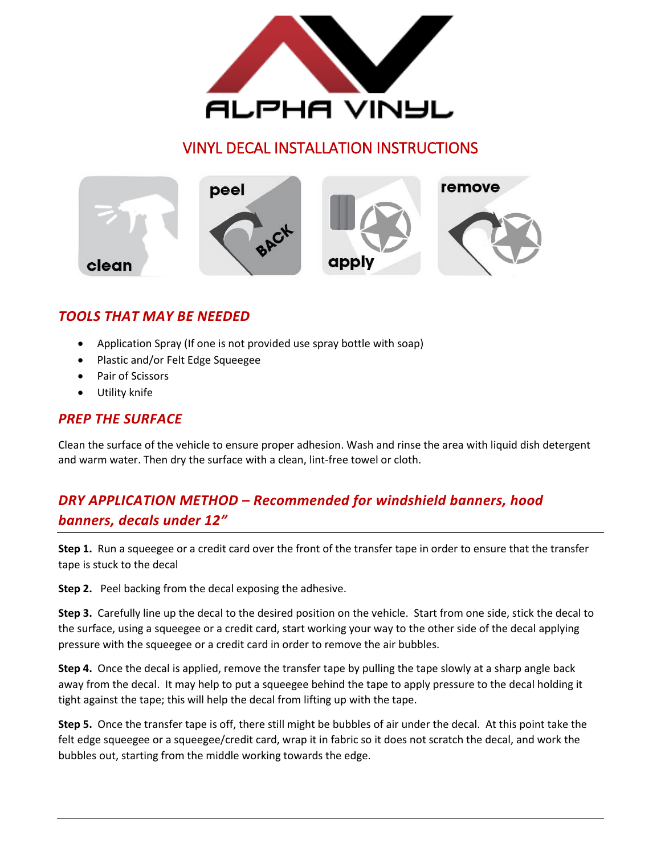

# VINYL DECAL INSTALLATION INSTRUCTIONS



## *TOOLS THAT MAY BE NEEDED*

- Application Spray (If one is not provided use spray bottle with soap)
- Plastic and/or Felt Edge Squeegee
- Pair of Scissors
- Utility knife

#### *PREP THE SURFACE*

Clean the surface of the vehicle to ensure proper adhesion. Wash and rinse the area with liquid dish detergent and warm water. Then dry the surface with a clean, lint-free towel or cloth.

# *DRY APPLICATION METHOD – Recommended for windshield banners, hood banners, decals under 12"*

**Step 1.** Run a squeegee or a credit card over the front of the transfer tape in order to ensure that the transfer tape is stuck to the decal

**Step 2.** Peel backing from the decal exposing the adhesive.

**Step 3.** Carefully line up the decal to the desired position on the vehicle. Start from one side, stick the decal to the surface, using a squeegee or a credit card, start working your way to the other side of the decal applying pressure with the squeegee or a credit card in order to remove the air bubbles.

**Step 4.** Once the decal is applied, remove the transfer tape by pulling the tape slowly at a sharp angle back away from the decal. It may help to put a squeegee behind the tape to apply pressure to the decal holding it tight against the tape; this will help the decal from lifting up with the tape.

**Step 5.** Once the transfer tape is off, there still might be bubbles of air under the decal. At this point take the felt edge squeegee or a squeegee/credit card, wrap it in fabric so it does not scratch the decal, and work the bubbles out, starting from the middle working towards the edge.